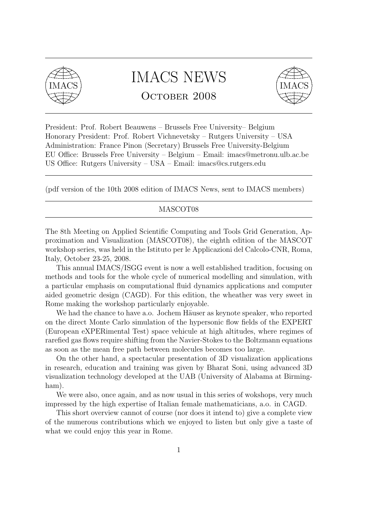

## IMACS NEWS OCTOBER 2008



President: Prof. Robert Beauwens – Brussels Free University– Belgium Honorary President: Prof. Robert Vichnevetsky – Rutgers University – USA Administration: France Pinon (Secretary) Brussels Free University-Belgium EU Office: Brussels Free University – Belgium – Email: imacs@metronu.ulb.ac.be US Office: Rutgers University – USA – Email: imacs@cs.rutgers.edu

(pdf version of the 10th 2008 edition of IMACS News, sent to IMACS members)

#### MASCOT08

The 8th Meeting on Applied Scientific Computing and Tools Grid Generation, Approximation and Visualization (MASCOT08), the eighth edition of the MASCOT workshop series, was held in the Istituto per le Applicazioni del Calcolo-CNR, Roma, Italy, October 23-25, 2008.

This annual IMACS/ISGG event is now a well established tradition, focusing on methods and tools for the whole cycle of numerical modelling and simulation, with a particular emphasis on computational fluid dynamics applications and computer aided geometric design (CAGD). For this edition, the wheather was very sweet in Rome making the workshop particularly enjoyable.

We had the chance to have a.o. Jochem Häuser as keynote speaker, who reported on the direct Monte Carlo simulation of the hypersonic flow fields of the EXPERT (European eXPERimental Test) space vehicule at high altitudes, where regimes of rarefied gas flows require shifting from the Navier-Stokes to the Boltzmann equations as soon as the mean free path between molecules becomes too large.

On the other hand, a spectacular presentation of 3D visualization applications in research, education and training was given by Bharat Soni, using advanced 3D visualization technology developed at the UAB (University of Alabama at Birmingham).

We were also, once again, and as now usual in this series of wokshops, very much impressed by the high expertise of Italian female mathematicians, a.o. in CAGD.

This short overview cannot of course (nor does it intend to) give a complete view of the numerous contributions which we enjoyed to listen but only give a taste of what we could enjoy this year in Rome.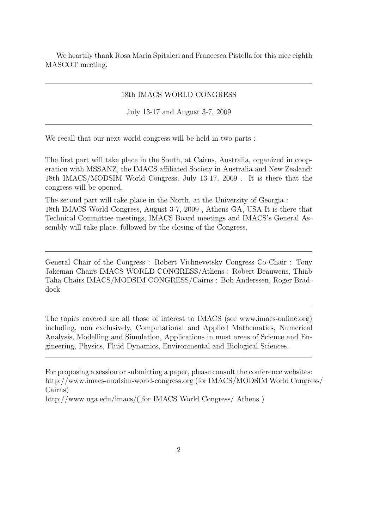We heartily thank Rosa Maria Spitaleri and Francesca Pistella for this nice eighth MASCOT meeting.

#### 18th IMACS WORLD CONGRESS

July 13-17 and August 3-7, 2009

We recall that our next world congress will be held in two parts :

The first part will take place in the South, at Cairns, Australia, organized in cooperation with MSSANZ, the IMACS affiliated Society in Australia and New Zealand: 18th IMACS/MODSIM World Congress, July 13-17, 2009 . It is there that the congress will be opened.

The second part will take place in the North, at the University of Georgia : 18th IMACS World Congress, August 3-7, 2009 , Athens GA, USA It is there that Technical Committee meetings, IMACS Board meetings and IMACS's General Assembly will take place, followed by the closing of the Congress.

General Chair of the Congress : Robert Vichnevetsky Congress Co-Chair : Tony Jakeman Chairs IMACS WORLD CONGRESS/Athens : Robert Beauwens, Thiab Taha Chairs IMACS/MODSIM CONGRESS/Cairns : Bob Anderssen, Roger Braddock

The topics covered are all those of interest to IMACS (see www.imacs-online.org) including, non exclusively, Computational and Applied Mathematics, Numerical Analysis, Modelling and Simulation, Applications in most areas of Science and Engineering, Physics, Fluid Dynamics, Environmental and Biological Sciences.

For proposing a session or submitting a paper, please consult the conference websites: http://www.imacs-modsim-world-congress.org (for IMACS/MODSIM World Congress/ Cairns)

http://www.uga.edu/imacs/( for IMACS World Congress/ Athens )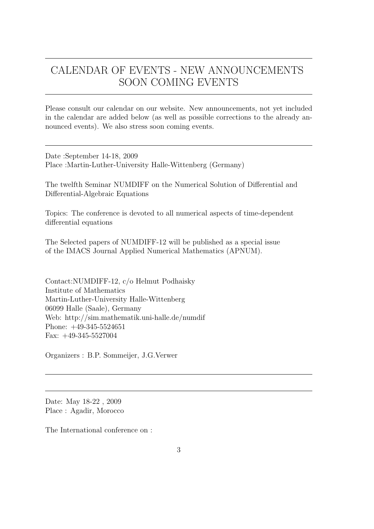### CALENDAR OF EVENTS - NEW ANNOUNCEMENTS SOON COMING EVENTS

Please consult our calendar on our website. New announcements, not yet included in the calendar are added below (as well as possible corrections to the already announced events). We also stress soon coming events.

Date :September 14-18, 2009 Place :Martin-Luther-University Halle-Wittenberg (Germany)

The twelfth Seminar NUMDIFF on the Numerical Solution of Differential and Differential-Algebraic Equations

Topics: The conference is devoted to all numerical aspects of time-dependent differential equations

The Selected papers of NUMDIFF-12 will be published as a special issue of the IMACS Journal Applied Numerical Mathematics (APNUM).

Contact:NUMDIFF-12, c/o Helmut Podhaisky Institute of Mathematics Martin-Luther-University Halle-Wittenberg 06099 Halle (Saale), Germany Web: http://sim.mathematik.uni-halle.de/numdif Phone: +49-345-5524651 Fax: +49-345-5527004

Organizers : B.P. Sommeijer, J.G.Verwer

Date: May 18-22 , 2009 Place : Agadir, Morocco

The International conference on :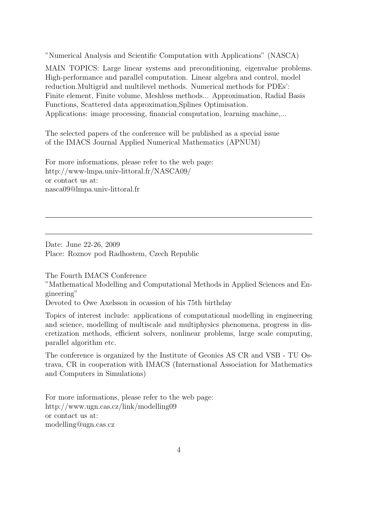"Numerical Analysis and Scientific Computation with Applications" (NASCA)

MAIN TOPICS: Large linear systems and preconditioning, eigenvalue problems. High-performance and parallel computation. Linear algebra and control, model reduction.Multigrid and multilevel methods. Numerical methods for PDEs': Finite element, Finite volume, Meshless methods... Approximation, Radial Basis Functions, Scattered data approximation,Splines Optimisation. Applications: image processing, financial computation, learning machine,...

The selected papers of the conference will be published as a special issue of the IMACS Journal Applied Numerical Mathematics (APNUM)

For more informations, please refer to the web page: http://www-lmpa.univ-littoral.fr/NASCA09/ or contact us at: nasca09@lmpa.univ-littoral.fr

Date: June 22-26, 2009 Place: Roznov pod Radhostem, Czech Republic

The Fourth IMACS Conference

"Mathematical Modelling and Computational Methods in Applied Sciences and Engineering"

Devoted to Owe Axelsson in ocassion of his 75th birthday

Topics of interest include: applications of computational modelling in engineering and science, modelling of multiscale and multiphysics phenomena, progress in discretization methods, efficient solvers, nonlinear problems, large scale computing, parallel algorithm etc.

The conference is organized by the Institute of Geonics AS CR and VSB - TU Ostrava, CR in cooperation with IMACS (International Association for Mathematics and Computers in Simulations)

For more informations, please refer to the web page: http://www.ugn.cas.cz/link/modelling09 or contact us at: modelling@ugn.cas.cz